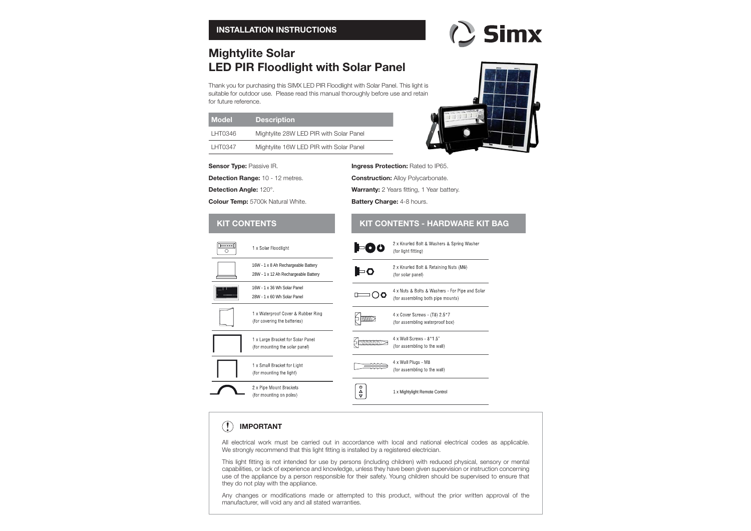# **Mightylite Solar LED PIR Floodlight with Solar Panel**

Thank you for purchasing this SIMX LED PIR Floodlight with Solar Panel. This light is suitable for outdoor use. Please read this manual thoroughly before use and retain for future reference.

| <b>Model</b> | <b>Description</b>                      |
|--------------|-----------------------------------------|
| LHT0346      | Mightylite 28W LED PIR with Solar Panel |
| LHT0347      | Mightylite 16W LED PIR with Solar Panel |

#### **Sensor Type: Passive IR.**

**Detection Range:** 10 - 12 metres.

**Detection Angle:** 120°.

 $\sqrt{2}$ 

 $\circ$ 

**Colour Temp:** 5700k Natural White.



( Simx

**Ingress Protection: Rated to IP65.** 

**Construction: Alloy Polycarbonate.** 

**Warranty:** 2 Years fitting, 1 Year battery.

**Battery Charge: 4-8 hours.** 

#### **KIT CONTENTS KIT CONTENTS - HARDWARE KIT BAG**2 x Knurled Bolt & Washers & Spring Washer 1 x Solar Floodlight 1-00 (for light fitting) 16W - 1 x 8 Ah Rechargeable Battery 2 x Knurled Bolt & Retaining Nuts (M6) l⊨o 28W - 1 x 12 Ah Rechargeable Battery (for solar panel) 16W - 1 x 36 Wh Solar Panel 4 x Nuts & Bolts & Washers - For Pipe and Solar  $\Box$ (for assembling both pipe mounts) 28W - 1 x 60 Wh Solar Panel 1 x Waterproof Cover & Rubber Ring 4 x Cover Screws - (T8) 2.5\*7 (for covering the batteries) (for assembling waterproof box) 4 x Wall Screws - 8\*1.5" 1 x Large Bracket for Solar Panel (for assembling to the wall) (for mounting the solar panel) 4 x Wall Plugs - M8 1 x Small Bracket for Light  $\equiv$ (for assembling to the wall) (for mounting the light)  $\begin{array}{|c|} \hline \phi \\ \hline \phi \\\hline \end{array}$ 2 x Pipe Mount Brackets 1 x Mightylight Remote Control (for mounting on poles)

#### **IMPORTANT !** $\left( \mathbf{r} \right)$

All electrical work must be carried out in accordance with local and national electrical codes as applicable. We strongly recommend that this light fitting is installed by a registered electrician.

This light fitting is not intended for use by persons (including children) with reduced physical, sensory or mental capabilities, or lack of experience and knowledge, unless they have been given supervision or instruction concerning use of the appliance by a person responsible for their safety. Young children should be supervised to ensure that they do not play with the appliance.

Any changes or modifications made or attempted to this product, without the prior written approval of the manufacturer, will void any and all stated warranties.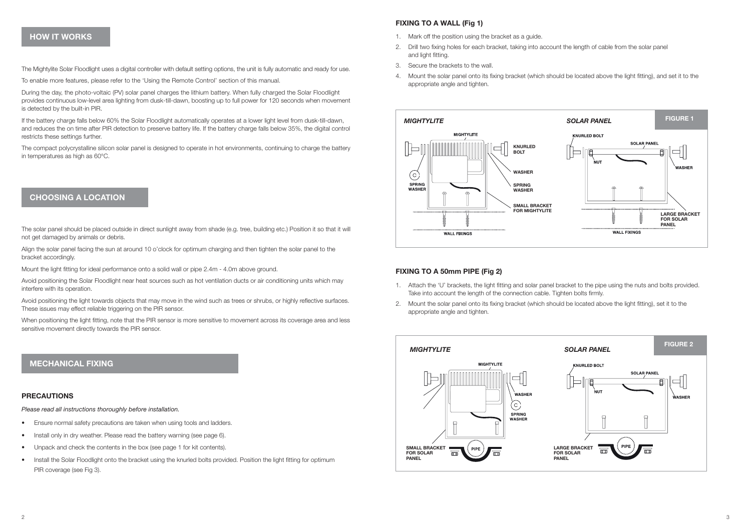## **HOW IT WORKS**

The Mightylite Solar Floodlight uses a digital controller with default setting options, the unit is fully automatic and ready for use.

To enable more features, please refer to the 'Using the Remote Control' section of this manual.

During the day, the photo-voltaic (PV) solar panel charges the lithium battery. When fully charged the Solar Floodlight provides continuous low-level area lighting from dusk-till-dawn, boosting up to full power for 120 seconds when movement is detected by the built-in PIR.

If the battery charge falls below 60% the Solar Floodlight automatically operates at a lower light level from dusk-till-dawn, and reduces the on time after PIR detection to preserve battery life. If the battery charge falls below 35%, the digital control restricts these settings further.

The compact polycrystalline silicon solar panel is designed to operate in hot environments, continuing to charge the battery in temperatures as high as 60°C.

## **CHOOSING A LOCATION**

The solar panel should be placed outside in direct sunlight away from shade (e.g. tree, building etc.) Position it so that it will not get damaged by animals or debris.

Align the solar panel facing the sun at around 10 o'clock for optimum charging and then tighten the solar panel to the bracket accordingly.

Mount the light fitting for ideal performance onto a solid wall or pipe 2.4m - 4.0m above ground.

Avoid positioning the Solar Floodlight near heat sources such as hot ventilation ducts or air conditioning units which may interfere with its operation.

Avoid positioning the light towards objects that may move in the wind such as trees or shrubs, or highly reflective surfaces. These issues may effect reliable triggering on the PIR sensor.

When positioning the light fitting, note that the PIR sensor is more sensitive to movement across its coverage area and less sensitive movement directly towards the PIR sensor.

## **MECHANICAL FIXING**

## **PRECAUTIONS**

*Please read all instructions thoroughly before installation.*

- Ensure normal safety precautions are taken when using tools and ladders.
- Install only in dry weather. Please read the battery warning (see page 6).
- Unpack and check the contents in the box (see page 1 for kit contents).
- Install the Solar Floodlight onto the bracket using the knurled bolts provided. Position the light fitting for optimum PIR coverage (see Fig 3).

## **FIXING TO A WALL (Fig 1)**

- 1. Mark off the position using the bracket as a guide.
- 2. Drill two fixing holes for each bracket, taking into account the length of cable from the solar panel and light fitting.
- 3. Secure the brackets to the wall.
- 4. Mount the solar panel onto its fixing bracket (which should be located above the light fitting), and set it to the appropriate angle and tighten.



## **FIXING TO A 50mm PIPE (Fig 2)**

- 1. Attach the 'U' brackets, the light fitting and solar panel bracket to the pipe using the nuts and bolts provided. Take into account the length of the connection cable. Tighten bolts firmly.
- 2. Mount the solar panel onto its fixing bracket (which should be located above the light fitting), set it to the appropriate angle and tighten.

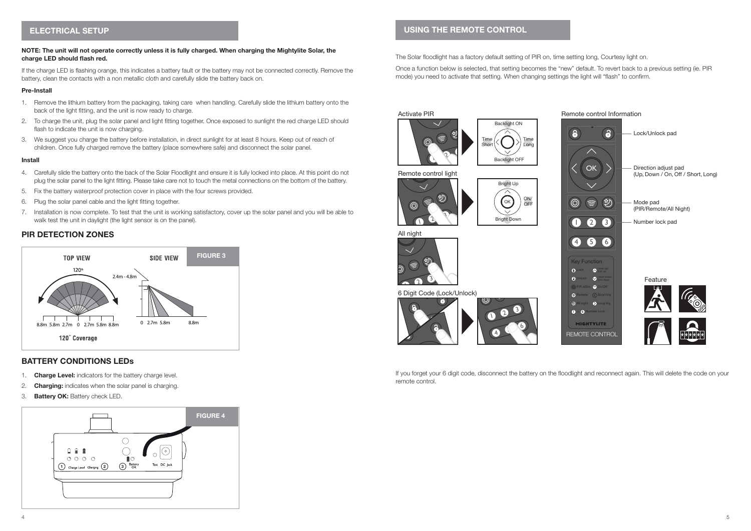## **ELECTRICAL SETUP**

## **NOTE: The unit will not operate correctly unless it is fully charged. When charging the Mightylite Solar, the**  charge LED should flash red.

If the charge LED is flashing orange, this indicates a battery fault or the battery may not be connected correctly. Remove the battery, clean the contacts with a non metallic cloth and carefully slide the battery back on.

#### **Pre-Install**

- 1. Remove the lithium battery from the packaging, taking care when handling. Carefully slide the lithium battery onto the back of the light fitting, and the unit is now ready to charge.
- 2. To charge the unit, plug the solar panel and light fitting together. Once exposed to sunlight the red charge LED should flash to indicate the unit is now charging.
- 3. We suggest you charge the battery before installation, in direct sunlight for at least 8 hours. Keep out of reach of children. Once fully charged remove the battery (place somewhere safe) and disconnect the solar panel.

#### **Install**

- 4. Carefully slide the battery onto the back of the Solar Floodlight and ensure it is fully locked into place. At this point do not plug the solar panel to the light fitting. Please take care not to touch the metal connections on the bottom of the battery.
- 5. Fix the battery waterproof protection cover in place with the four screws provided.
- 6. Plug the solar panel cable and the light fitting together.
- 7. Installation is now complete. To test that the unit is working satisfactory, cover up the solar panel and you will be able to walk test the unit in daylight (the light sensor is on the panel).

## **PIR DETECTION ZONES**



## **BATTERY CONDITIONS LEDs**

- 1. **Charge Level:** indicators for the battery charge level.
- 2. **Charging:** indicates when the solar panel is charging.
- 3. **Battery OK:** Battery check LED.



## **USING THE REMOTE CONTROL**

The Solar floodlight has a factory default setting of PIR on, time setting long, Courtesy light on.

Once a function below is selected, that setting becomes the "new" default. To revert back to a previous setting (ie. PIR mode) you need to activate that setting. When changing settings the light will "flash" to confirm.



If you forget your 6 digit code, disconnect the battery on the floodlight and reconnect again. This will delete the code on your remote control.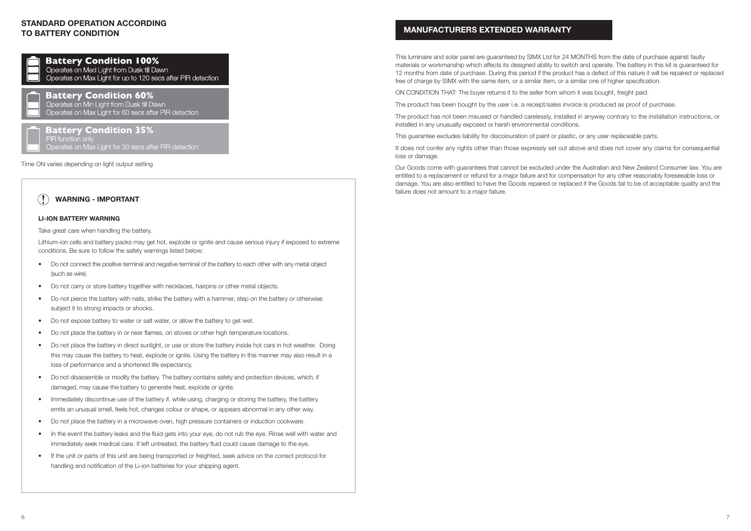## **STANDARD OPERATION ACCORDING TO BATTERY CONDITION**



**Battery Condition 100%** Operates on Med Light from Dusk till Dawn Operates on Max Light for up to 120 secs after PIR detection

## **Battery Condition 60%**

Operates on Min Light from Dusk till Dawn Operates on Max Light for 60 secs after PIR detection

**Battery Condition 35%** PIR function only Operates on Max Light for 30 secs after PIR detection

Time ON varies depending on light output setting

## **WARNING - IMPORTANT !**

## **LI-ION BATTERY WARNING**

Take great care when handling the battery.

Lithium-ion cells and battery packs may get hot, explode or ignite and cause serious injury if exposed to extreme conditions. Be sure to follow the safety warnings listed below:

- Do not connect the positive terminal and negative terminal of the battery to each other with any metal object (such as wire).
- Do not carry or store battery together with necklaces, hairpins or other metal objects.
- Do not pierce the battery with nails, strike the battery with a hammer, step on the battery or otherwise subject it to strong impacts or shocks.
- Do not expose battery to water or salt water, or allow the battery to get wet.
- Do not place the battery in or near flames, on stoves or other high temperature locations.
- Do not place the battery in direct sunlight, or use or store the battery inside hot cars in hot weather. Doing this may cause the battery to heat, explode or ignite. Using the battery in this manner may also result in a loss of performance and a shortened life expectancy.
- Do not disassemble or modify the battery. The battery contains safety and protection devices, which, if damaged, may cause the battery to generate heat, explode or ignite.
- Immediately discontinue use of the battery if, while using, charging or storing the battery, the battery emits an unusual smell, feels hot, changes colour or shape, or appears abnormal in any other way.
- Do not place the battery in a microwave oven, high pressure containers or induction cookware.
- In the event the battery leaks and the fluid gets into your eye, do not rub the eye. Rinse well with water and immediately seek medical care. If left untreated, the battery fluid could cause damage to the eye.
- If the unit or parts of this unit are being transported or freighted, seek advice on the correct protocol for handling and notification of the Li-ion batteries for your shipping agent.

## **MANUFACTURERS EXTENDED WARRANTY**

This luminaire and solar panel are guaranteed by SIMX Ltd for 24 MONTHS from the date of purchase against faulty materials or workmanship which affects its designed ability to switch and operate. The battery in this kit is guaranteed for 12 months from date of purchase. During this period if the product has a defect of this nature it will be repaired or replaced free of charge by SIMX with the same item, or a similar item, or a similar one of higher specification.

ON CONDITION THAT: The buyer returns it to the seller from whom it was bought, freight paid.

The product has been bought by the user i.e. a receipt/sales invoice is produced as proof of purchase.

The product has not been misused or handled carelessly, installed in anyway contrary to the installation instructions, or installed in any unusually exposed or harsh environmental conditions.

This guarantee excludes liability for discolouration of paint or plastic, or any user replaceable parts.

It does not confer any rights other than those expressly set out above and does not cover any claims for consequential loss or damage.

Our Goods come with guarantees that cannot be excluded under the Australian and New Zealand Consumer law. You are entitled to a replacement or refund for a major failure and for compensation for any other reasonably foreseeable loss or damage. You are also entitled to have the Goods repaired or replaced if the Goods fail to be of acceptable quality and the failure does not amount to a major failure.